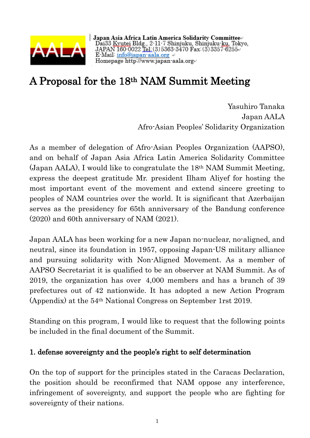

Japan Asia Africa Latin America Solidarity Committee⊬<br>Dai33 <u>Kyutei</u> Bldg., 2-11-7 Shinjuku, Shinjuku-ku, Tokyo,<br>JAPAN 160-0022 <u>Tel:</u>(3)5363-3470 Fax:(3)3357-6255⊬ E-Mail info@japan-aala.org  $\leftrightarrow$ Homepage http://www.japan-aala.org

## A Proposal for the 18th NAM Summit Meeting

 Yasuhiro Tanaka Japan AALA Afro-Asian Peoples' Solidarity Organization

As a member of delegation of Afro-Asian Peoples Organization (AAPSO), and on behalf of Japan Asia Africa Latin America Solidarity Committee (Japan AALA), I would like to congratulate the 18th NAM Summit Meeting, express the deepest gratitude Mr. president Ilham Aliyef for hosting the most important event of the movement and extend sincere greeting to peoples of NAM countries over the world. It is significant that Azerbaijan serves as the presidency for 65th anniversary of the Bandung conference (2020) and 60th anniversary of NAM (2021).

Japan AALA has been working for a new Japan no-nuclear, no-aligned, and neutral, since its foundation in 1957, opposing Japan-US military alliance and pursuing solidarity with Non-Aligned Movement. As a member of AAPSO Secretariat it is qualified to be an observer at NAM Summit. As of 2019, the organization has over 4,000 members and has a branch of 39 prefectures out of 42 nationwide. It has adopted a new Action Program (Appendix) at the 54th National Congress on September 1rst 2019.

Standing on this program, I would like to request that the following points be included in the final document of the Summit.

## 1. defense sovereignty and the people's right to self determination

On the top of support for the principles stated in the Caracas Declaration, the position should be reconfirmed that NAM oppose any interference, infringement of sovereignty, and support the people who are fighting for sovereignty of their nations.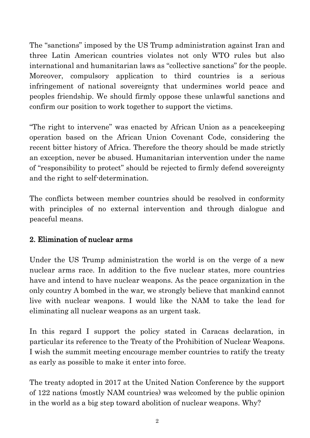The "sanctions" imposed by the US Trump administration against Iran and three Latin American countries violates not only WTO rules but also international and humanitarian laws as "collective sanctions" for the people. Moreover, compulsory application to third countries is a serious infringement of national sovereignty that undermines world peace and peoples friendship. We should firmly oppose these unlawful sanctions and confirm our position to work together to support the victims.

"The right to intervene" was enacted by African Union as a peacekeeping operation based on the African Union Covenant Code, considering the recent bitter history of Africa. Therefore the theory should be made strictly an exception, never be abused. Humanitarian intervention under the name of "responsibility to protect" should be rejected to firmly defend sovereignty and the right to self-determination.

The conflicts between member countries should be resolved in conformity with principles of no external intervention and through dialogue and peaceful means.

## 2. Elimination of nuclear arms

Under the US Trump administration the world is on the verge of a new nuclear arms race. In addition to the five nuclear states, more countries have and intend to have nuclear weapons. As the peace organization in the only country A bombed in the war, we strongly believe that mankind cannot live with nuclear weapons. I would like the NAM to take the lead for eliminating all nuclear weapons as an urgent task.

In this regard I support the policy stated in Caracas declaration, in particular its reference to the Treaty of the Prohibition of Nuclear Weapons. I wish the summit meeting encourage member countries to ratify the treaty as early as possible to make it enter into force.

The treaty adopted in 2017 at the United Nation Conference by the support of 122 nations (mostly NAM countries) was welcomed by the public opinion in the world as a big step toward abolition of nuclear weapons. Why?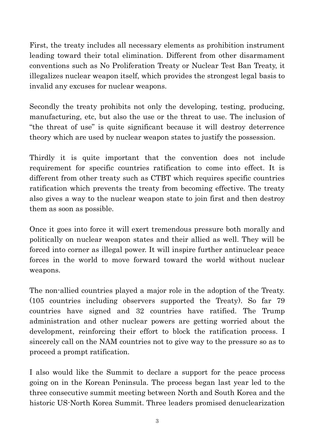First, the treaty includes all necessary elements as prohibition instrument leading toward their total elimination. Different from other disarmament conventions such as No Proliferation Treaty or Nuclear Test Ban Treaty, it illegalizes nuclear weapon itself, which provides the strongest legal basis to invalid any excuses for nuclear weapons.

Secondly the treaty prohibits not only the developing, testing, producing, manufacturing, etc, but also the use or the threat to use. The inclusion of "the threat of use" is quite significant because it will destroy deterrence theory which are used by nuclear weapon states to justify the possession.

Thirdly it is quite important that the convention does not include requirement for specific countries ratification to come into effect. It is different from other treaty such as CTBT which requires specific countries ratification which prevents the treaty from becoming effective. The treaty also gives a way to the nuclear weapon state to join first and then destroy them as soon as possible.

Once it goes into force it will exert tremendous pressure both morally and politically on nuclear weapon states and their allied as well. They will be forced into corner as illegal power. It will inspire further antinuclear peace forces in the world to move forward toward the world without nuclear weapons.

The non-allied countries played a major role in the adoption of the Treaty. (105 countries including observers supported the Treaty). So far 79 countries have signed and 32 countries have ratified. The Trump administration and other nuclear powers are getting worried about the development, reinforcing their effort to block the ratification process. I sincerely call on the NAM countries not to give way to the pressure so as to proceed a prompt ratification.

I also would like the Summit to declare a support for the peace process going on in the Korean Peninsula. The process began last year led to the three consecutive summit meeting between North and South Korea and the historic US-North Korea Summit. Three leaders promised denuclearization